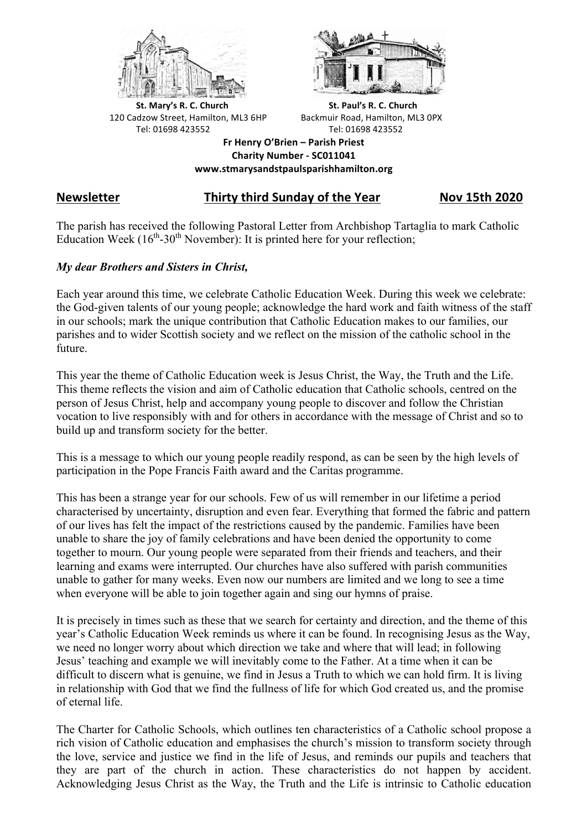



**St.** Mary's R. C. Church St. Paul's R. C. Church 120 Cadzow Street, Hamilton, ML3 6HP Backmuir Road, Hamilton, ML3 0PX Tel: 01698 423552 Tel: 01698 423552

**Fr Henry O'Brien – Parish Priest Charity Number - SC011041 www.stmarysandstpaulsparishhamilton.org**

# **Newsletter Thirty third Sunday of the Year Nov 15th 2020**

The parish has received the following Pastoral Letter from Archbishop Tartaglia to mark Catholic Education Week  $(16<sup>th</sup>-30<sup>th</sup>$  November): It is printed here for your reflection;

## *My dear Brothers and Sisters in Christ,*

Each year around this time, we celebrate Catholic Education Week. During this week we celebrate: the God-given talents of our young people; acknowledge the hard work and faith witness of the staff in our schools; mark the unique contribution that Catholic Education makes to our families, our parishes and to wider Scottish society and we reflect on the mission of the catholic school in the future.

This year the theme of Catholic Education week is Jesus Christ, the Way, the Truth and the Life. This theme reflects the vision and aim of Catholic education that Catholic schools, centred on the person of Jesus Christ, help and accompany young people to discover and follow the Christian vocation to live responsibly with and for others in accordance with the message of Christ and so to build up and transform society for the better.

This is a message to which our young people readily respond, as can be seen by the high levels of participation in the Pope Francis Faith award and the Caritas programme.

This has been a strange year for our schools. Few of us will remember in our lifetime a period characterised by uncertainty, disruption and even fear. Everything that formed the fabric and pattern of our lives has felt the impact of the restrictions caused by the pandemic. Families have been unable to share the joy of family celebrations and have been denied the opportunity to come together to mourn. Our young people were separated from their friends and teachers, and their learning and exams were interrupted. Our churches have also suffered with parish communities unable to gather for many weeks. Even now our numbers are limited and we long to see a time when everyone will be able to join together again and sing our hymns of praise.

It is precisely in times such as these that we search for certainty and direction, and the theme of this year's Catholic Education Week reminds us where it can be found. In recognising Jesus as the Way, we need no longer worry about which direction we take and where that will lead; in following Jesus' teaching and example we will inevitably come to the Father. At a time when it can be difficult to discern what is genuine, we find in Jesus a Truth to which we can hold firm. It is living in relationship with God that we find the fullness of life for which God created us, and the promise of eternal life.

The Charter for Catholic Schools, which outlines ten characteristics of a Catholic school propose a rich vision of Catholic education and emphasises the church's mission to transform society through the love, service and justice we find in the life of Jesus, and reminds our pupils and teachers that they are part of the church in action. These characteristics do not happen by accident. Acknowledging Jesus Christ as the Way, the Truth and the Life is intrinsic to Catholic education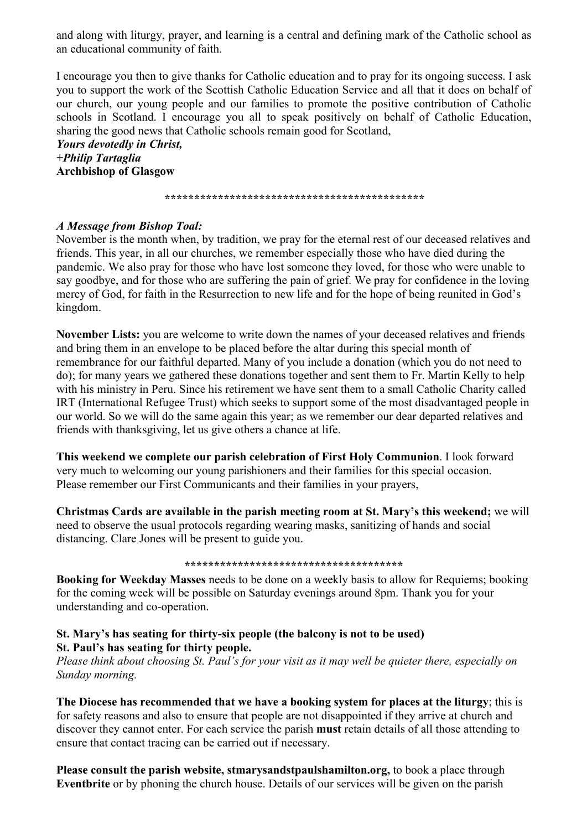and along with liturgy, prayer, and learning is a central and defining mark of the Catholic school as an educational community of faith.

I encourage you then to give thanks for Catholic education and to pray for its ongoing success. I ask you to support the work of the Scottish Catholic Education Service and all that it does on behalf of our church, our young people and our families to promote the positive contribution of Catholic schools in Scotland. I encourage you all to speak positively on behalf of Catholic Education, sharing the good news that Catholic schools remain good for Scotland,

*Yours devotedly in Christ, +Philip Tartaglia* **Archbishop of Glasgow**

*\*\*\*\*\*\*\*\*\*\*\*\*\*\*\*\*\*\*\*\*\*\*\*\*\*\*\*\*\*\*\*\*\*\*\*\*\*\*\*\*\*\*\*\**

## *A Message from Bishop Toal:*

November is the month when, by tradition, we pray for the eternal rest of our deceased relatives and friends. This year, in all our churches, we remember especially those who have died during the pandemic. We also pray for those who have lost someone they loved, for those who were unable to say goodbye, and for those who are suffering the pain of grief. We pray for confidence in the loving mercy of God, for faith in the Resurrection to new life and for the hope of being reunited in God's kingdom.

**November Lists:** you are welcome to write down the names of your deceased relatives and friends and bring them in an envelope to be placed before the altar during this special month of remembrance for our faithful departed. Many of you include a donation (which you do not need to do); for many years we gathered these donations together and sent them to Fr. Martin Kelly to help with his ministry in Peru. Since his retirement we have sent them to a small Catholic Charity called IRT (International Refugee Trust) which seeks to support some of the most disadvantaged people in our world. So we will do the same again this year; as we remember our dear departed relatives and friends with thanksgiving, let us give others a chance at life.

**This weekend we complete our parish celebration of First Holy Communion**. I look forward very much to welcoming our young parishioners and their families for this special occasion. Please remember our First Communicants and their families in your prayers,

**Christmas Cards are available in the parish meeting room at St. Mary's this weekend;** we will need to observe the usual protocols regarding wearing masks, sanitizing of hands and social distancing. Clare Jones will be present to guide you.

#### **\*\*\*\*\*\*\*\*\*\*\*\*\*\*\*\*\*\*\*\*\*\*\*\*\*\*\*\*\*\*\*\*\*\*\*\*\***

**Booking for Weekday Masses** needs to be done on a weekly basis to allow for Requiems; booking for the coming week will be possible on Saturday evenings around 8pm. Thank you for your understanding and co-operation.

## **St. Mary's has seating for thirty-six people (the balcony is not to be used) St. Paul's has seating for thirty people.**

*Please think about choosing St. Paul's for your visit as it may well be quieter there, especially on Sunday morning.*

**The Diocese has recommended that we have a booking system for places at the liturgy**; this is for safety reasons and also to ensure that people are not disappointed if they arrive at church and discover they cannot enter. For each service the parish **must** retain details of all those attending to ensure that contact tracing can be carried out if necessary.

**Please consult the parish website, stmarysandstpaulshamilton.org,** to book a place through **Eventbrite** or by phoning the church house. Details of our services will be given on the parish